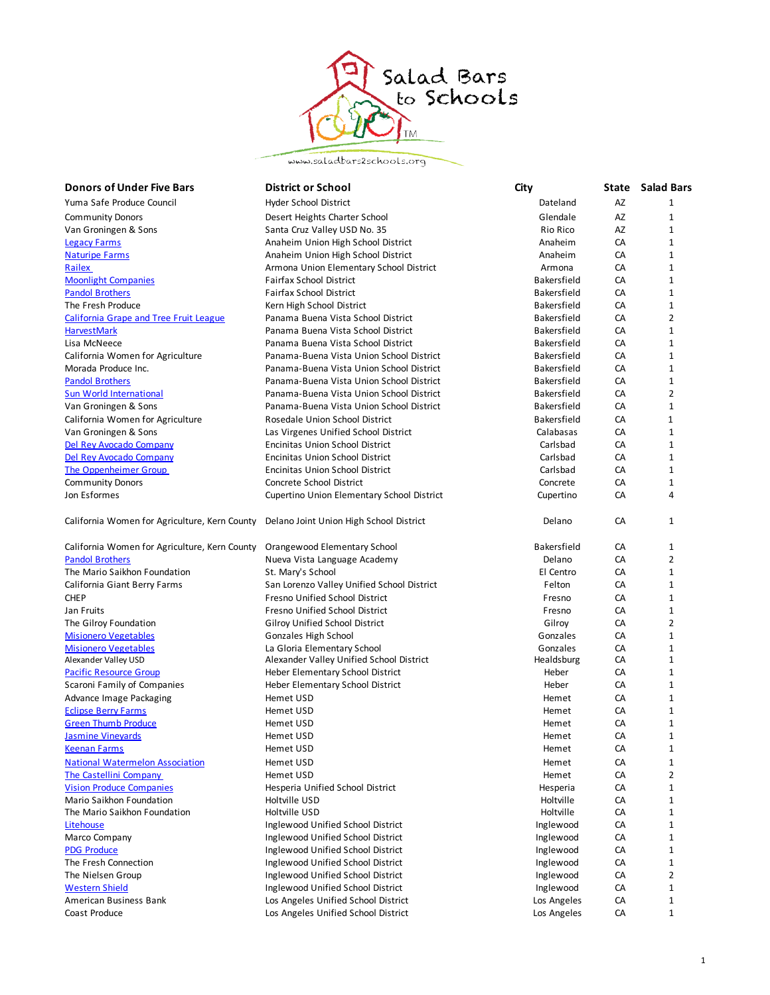

www.saladbars2schools.org

| <b>Donors of Under Five Bars</b>              | <b>District or School</b>                  | City        |    | <b>State</b> Salad Bars |
|-----------------------------------------------|--------------------------------------------|-------------|----|-------------------------|
| Yuma Safe Produce Council                     | <b>Hyder School District</b>               | Dateland    | AZ | $\mathbf{1}$            |
| <b>Community Donors</b>                       | Desert Heights Charter School              | Glendale    | AZ | 1                       |
| Van Groningen & Sons                          | Santa Cruz Valley USD No. 35               | Rio Rico    | AZ | 1                       |
| <b>Legacy Farms</b>                           | Anaheim Union High School District         | Anaheim     | CA | 1                       |
| <b>Naturipe Farms</b>                         | Anaheim Union High School District         | Anaheim     | CA | $\mathbf{1}$            |
| Railex                                        | Armona Union Elementary School District    | Armona      | CA | 1                       |
| <b>Moonlight Companies</b>                    | Fairfax School District                    | Bakersfield | CA | 1                       |
| <b>Pandol Brothers</b>                        | <b>Fairfax School District</b>             | Bakersfield | CA | 1                       |
| The Fresh Produce                             | Kern High School District                  | Bakersfield | CA | $\mathbf{1}$            |
| <b>California Grape and Tree Fruit League</b> | Panama Buena Vista School District         | Bakersfield | CA | 2                       |
| <b>HarvestMark</b>                            | Panama Buena Vista School District         | Bakersfield | CA | 1                       |
| Lisa McNeece                                  | Panama Buena Vista School District         | Bakersfield | CA | 1                       |
| California Women for Agriculture              | Panama-Buena Vista Union School District   | Bakersfield | CA | 1                       |
| Morada Produce Inc.                           | Panama-Buena Vista Union School District   | Bakersfield | CA | 1                       |
| <b>Pandol Brothers</b>                        | Panama-Buena Vista Union School District   | Bakersfield | CA | $\mathbf{1}$            |
| <b>Sun World International</b>                | Panama-Buena Vista Union School District   | Bakersfield | CA | 2                       |
| Van Groningen & Sons                          | Panama-Buena Vista Union School District   | Bakersfield | CA | 1                       |
| California Women for Agriculture              | Rosedale Union School District             | Bakersfield | CA | 1                       |
| Van Groningen & Sons                          | Las Virgenes Unified School District       | Calabasas   | CA | $\mathbf 1$             |
| Del Rey Avocado Company                       | Encinitas Union School District            | Carlsbad    | CA | 1                       |
| Del Rey Avocado Company                       | <b>Encinitas Union School District</b>     | Carlsbad    | CA | $\mathbf{1}$            |
| The Oppenheimer Group                         | Encinitas Union School District            | Carlsbad    | CA | 1                       |
| <b>Community Donors</b>                       | Concrete School District                   | Concrete    | CA | 1                       |
| Jon Esformes                                  | Cupertino Union Elementary School District | Cupertino   | CA | 4                       |
| California Women for Agriculture, Kern County | Delano Joint Union High School District    | Delano      | CA | $\mathbf{1}$            |
| California Women for Agriculture, Kern County | Orangewood Elementary School               | Bakersfield | CA | 1                       |
| <b>Pandol Brothers</b>                        | Nueva Vista Language Academy               | Delano      | CA | 2                       |
| The Mario Saikhon Foundation                  | St. Mary's School                          | El Centro   | CA | 1                       |
| California Giant Berry Farms                  | San Lorenzo Valley Unified School District | Felton      | CA | $\mathbf{1}$            |
| <b>CHEP</b>                                   | Fresno Unified School District             | Fresno      | CA | 1                       |
| Jan Fruits                                    | Fresno Unified School District             | Fresno      | CA | 1                       |
| The Gilroy Foundation                         | <b>Gilroy Unified School District</b>      | Gilroy      | CA | $\overline{2}$          |
| <b>Misionero Vegetables</b>                   | Gonzales High School                       | Gonzales    | CA | 1                       |
| <b>Misionero Vegetables</b>                   | La Gloria Elementary School                | Gonzales    | CA | 1                       |
| Alexander Valley USD                          | Alexander Valley Unified School District   | Healdsburg  | CA | 1                       |
| <b>Pacific Resource Group</b>                 | Heber Elementary School District           | Heber       | CA | 1                       |
| Scaroni Family of Companies                   | Heber Elementary School District           | Heber       | CA | 1                       |
| Advance Image Packaging                       | Hemet USD                                  | Hemet       | CA | $\mathbf{1}$            |
| <b>Eclipse Berry Farms</b>                    | Hemet USD                                  | Hemet       | CA | 1                       |
| <b>Green Thumb Produce</b>                    | Hemet USD                                  | Hemet       | CA | 1                       |
| <b>Jasmine Vineyards</b>                      | Hemet USD                                  | Hemet       | CA | $\mathbf{1}$            |
| <u>Keenan Farms</u>                           | Hemet USD                                  | Hemet       | CA | 1                       |
| <b>National Watermelon Association</b>        | Hemet USD                                  | Hemet       | CA | 1                       |
| <b>The Castellini Company</b>                 | Hemet USD                                  | Hemet       | CA | 2                       |
| <b>Vision Produce Companies</b>               | Hesperia Unified School District           | Hesperia    | CA | 1                       |
| Mario Saikhon Foundation                      | Holtville USD                              | Holtville   | CA | 1                       |
| The Mario Saikhon Foundation                  | Holtville USD                              | Holtville   | CA | 1                       |
| Litehouse                                     | Inglewood Unified School District          | Inglewood   | CA | 1                       |
| Marco Company                                 | Inglewood Unified School District          | Inglewood   | CA | 1                       |
| <b>PDG Produce</b>                            | Inglewood Unified School District          | Inglewood   | CA | 1                       |
| The Fresh Connection                          | Inglewood Unified School District          | Inglewood   | CA | 1                       |
| The Nielsen Group                             | Inglewood Unified School District          | Inglewood   | CA | 2                       |
| <b>Western Shield</b>                         | Inglewood Unified School District          | Inglewood   | CA | $\mathbf{1}$            |
| American Business Bank                        | Los Angeles Unified School District        | Los Angeles | CA | $\mathbf{1}$            |
| Coast Produce                                 | Los Angeles Unified School District        | Los Angeles | CA | $\mathbf{1}$            |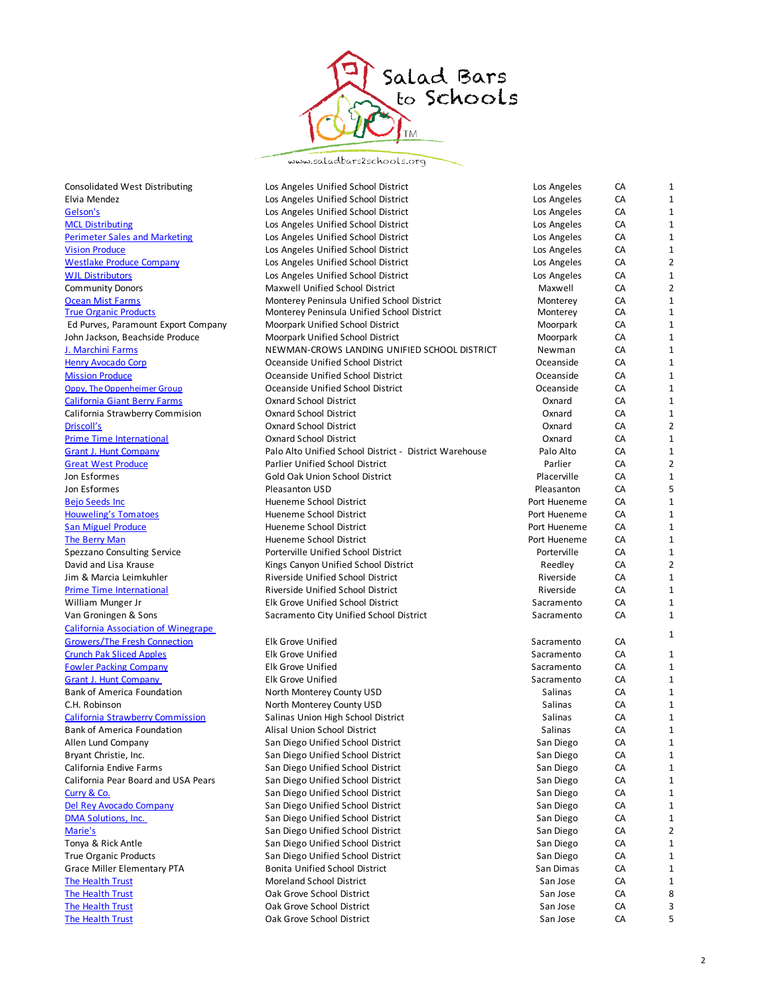

www.saladbars2schools.org

| Consolidated West Distributing             | Los Angeles Unified School District                    | Los Angeles  | CA | 1              |
|--------------------------------------------|--------------------------------------------------------|--------------|----|----------------|
| Elvia Mendez                               | Los Angeles Unified School District                    | Los Angeles  | CA | 1              |
| Gelson's                                   | Los Angeles Unified School District                    | Los Angeles  | CA | 1              |
| <b>MCL Distributing</b>                    | Los Angeles Unified School District                    | Los Angeles  | CA | 1              |
| <b>Perimeter Sales and Marketing</b>       | Los Angeles Unified School District                    | Los Angeles  | CA | $\mathbf 1$    |
| <b>Vision Produce</b>                      | Los Angeles Unified School District                    | Los Angeles  | CA | 1              |
| <b>Westlake Produce Company</b>            | Los Angeles Unified School District                    | Los Angeles  | CA | 2              |
| <b>WJL Distributors</b>                    | Los Angeles Unified School District                    | Los Angeles  | CA | $\mathbf 1$    |
| <b>Community Donors</b>                    | Maxwell Unified School District                        | Maxwell      | CA | 2              |
| <b>Ocean Mist Farms</b>                    | Monterey Peninsula Unified School District             | Monterey     | CA | 1              |
| <b>True Organic Products</b>               | Monterey Peninsula Unified School District             | Monterey     | CA | $\mathbf{1}$   |
| Ed Purves, Paramount Export Company        | Moorpark Unified School District                       | Moorpark     | CA | 1              |
| John Jackson, Beachside Produce            | Moorpark Unified School District                       | Moorpark     | CA | 1              |
| J. Marchini Farms                          | NEWMAN-CROWS LANDING UNIFIED SCHOOL DISTRICT           | Newman       | CA | $\mathbf{1}$   |
| <b>Henry Avocado Corp</b>                  | Oceanside Unified School District                      | Oceanside    | CA | 1              |
| <b>Mission Produce</b>                     | Oceanside Unified School District                      | Oceanside    | CA | 1              |
| Oppy, The Oppenheimer Group                | Oceanside Unified School District                      | Oceanside    | CA | $\mathbf{1}$   |
| <b>California Giant Berry Farms</b>        | <b>Oxnard School District</b>                          | Oxnard       | CA | 1              |
| California Strawberry Commision            | <b>Oxnard School District</b>                          | Oxnard       | CA | 1              |
| Driscoll's                                 | <b>Oxnard School District</b>                          | Oxnard       | CA | $\overline{2}$ |
| <b>Prime Time International</b>            | <b>Oxnard School District</b>                          | Oxnard       | CA | 1              |
| <b>Grant J. Hunt Company</b>               | Palo Alto Unified School District - District Warehouse | Palo Alto    | CA | 1              |
| <b>Great West Produce</b>                  | <b>Parlier Unified School District</b>                 | Parlier      | CA | $\overline{2}$ |
| Jon Esformes                               | Gold Oak Union School District                         | Placerville  | CA | 1              |
| Jon Esformes                               | Pleasanton USD                                         | Pleasanton   | CA | 5              |
| <b>Bejo Seeds Inc</b>                      | Hueneme School District                                | Port Hueneme | CA | $\mathbf{1}$   |
| <b>Houweling's Tomatoes</b>                | Hueneme School District                                | Port Hueneme | CA | $\mathbf 1$    |
| <b>San Miguel Produce</b>                  | Hueneme School District                                | Port Hueneme | CA | $\mathbf 1$    |
| The Berry Man                              | Hueneme School District                                | Port Hueneme | CA | $\mathbf{1}$   |
| Spezzano Consulting Service                | Porterville Unified School District                    | Porterville  | CA | $\mathbf 1$    |
| David and Lisa Krause                      | Kings Canyon Unified School District                   | Reedley      | CA | 2              |
| Jim & Marcia Leimkuhler                    | Riverside Unified School District                      | Riverside    | CA | 1              |
| <b>Prime Time International</b>            | Riverside Unified School District                      | Riverside    | CA | $\mathbf 1$    |
| William Munger Jr                          | Elk Grove Unified School District                      | Sacramento   | CA | $\mathbf 1$    |
| Van Groningen & Sons                       | Sacramento City Unified School District                | Sacramento   | CA | 1              |
| <b>California Association of Winegrape</b> |                                                        |              |    |                |
| <b>Growers/The Fresh Connection</b>        | <b>Elk Grove Unified</b>                               | Sacramento   | CA | 1              |
| <b>Crunch Pak Sliced Apples</b>            | Elk Grove Unified                                      | Sacramento   | CA | 1              |
| <b>Fowler Packing Company</b>              | <b>Elk Grove Unified</b>                               | Sacramento   | CA | $\mathbf 1$    |
| <b>Grant J. Hunt Company</b>               | <b>Elk Grove Unified</b>                               | Sacramento   | CA | 1              |
| <b>Bank of America Foundation</b>          | North Monterey County USD                              | Salinas      | CA | 1              |
| C.H. Robinson                              | North Monterey County USD                              | Salinas      | CA | $\mathbf{1}$   |
| <b>California Strawberry Commission</b>    | Salinas Union High School District                     | Salinas      | CA | 1              |
| <b>Bank of America Foundation</b>          | Alisal Union School District                           | Salinas      | CA | 1              |
| Allen Lund Company                         | San Diego Unified School District                      | San Diego    | CA |                |
| Bryant Christie, Inc.                      | San Diego Unified School District                      | San Diego    | CA | 1              |
| California Endive Farms                    | San Diego Unified School District                      | San Diego    | CA | 1              |
| California Pear Board and USA Pears        | San Diego Unified School District                      | San Diego    | CA | 1              |
| Curry & Co.                                | San Diego Unified School District                      | San Diego    | CA | 1              |
| Del Rey Avocado Company                    | San Diego Unified School District                      | San Diego    | CA | 1              |
| <b>DMA Solutions. Inc.</b>                 | San Diego Unified School District                      | San Diego    | CA | 1              |
| Marie's                                    | San Diego Unified School District                      | San Diego    | CA | 2              |
| Tonya & Rick Antle                         | San Diego Unified School District                      | San Diego    | CA | 1              |
| <b>True Organic Products</b>               | San Diego Unified School District                      | San Diego    | CA | 1              |
| <b>Grace Miller Elementary PTA</b>         | Bonita Unified School District                         | San Dimas    | CA | 1              |
| <b>The Health Trust</b>                    | Moreland School District                               | San Jose     | CA | 1              |
| <b>The Health Trust</b>                    | Oak Grove School District                              | San Jose     | CA | 8              |
| <b>The Health Trust</b>                    | Oak Grove School District                              | San Jose     | CA | З              |
| The Health Trust                           | Oak Grove School District                              |              |    | 5              |
|                                            |                                                        | San Jose     | CA |                |

| os Angeles       | CA | 1              |
|------------------|----|----------------|
| os Angeles       | СA | 1              |
| os Angeles       | CA | 1              |
| os Angeles       | CA | 1              |
| os Angeles       | CA | 1              |
| os Angeles       | CA | 2              |
| os Angeles       | CA | 1              |
| Maxwell          | CA | 2              |
| Monterey         | CA | 1              |
| Monterey         | CA | 1              |
| Moorpark         | CA | 1              |
| Moorpark         | CA | 1              |
| Newman           | CA | 1              |
| Oceanside        | CA | 1              |
| <b>Oceanside</b> | CA | 1              |
| Oceanside        | CA | 1              |
| Oxnard           | CA | 1              |
| Oxnard           | CA | 1              |
| Oxnard           | CA | 2              |
| Oxnard           | CA | 1              |
| Palo Alto        | CA | $\overline{1}$ |
| Parlier          | CA | 2              |
| Placerville      | CA | 1              |
| leasanton        | CA | 5              |
| rt Hueneme       | CA | 1              |
| rt Hueneme       | CA | 1              |
| rt Hueneme       | CA | 1              |
| rt Hueneme       | CA | 1              |
| Porterville      | CA | 1              |
| Reedley          | CA | $\overline{2}$ |
| Riverside        | CA | 1              |
| Riverside        | CA | 1              |
| acramento        | CA | 1              |
| acramento        | CA | $\overline{1}$ |
|                  |    |                |
| acramento        | CA | 1              |
| acramento        | CA | 1              |
| acramento        | CA | 1              |
| acramento        | CA | 1              |
| Salinas          | CA | 1              |
| Salinas          | CA | 1              |
| Salinas          | CA | 1              |
| Salinas          | CA | 1              |
| San Diego        | CA | 1              |
| San Diego        | СA | $\mathbf{1}$   |
| San Diego        | CA | 1              |
| San Diego        | CA | 1              |
| San Diego        | СA | 1              |
| San Diego        | СA | 1              |
| San Diego        | CA | 1              |
| San Diego        | СA | 2              |
| San Diego        | СA | 1              |
| San Diego        | СA | 1              |
| ian Dimas        | CA | 1              |
| San Jose         | СA | 1              |
| San Jose         | СA | 8              |
| San Jose         | СA | 3              |
| San Jose         | СA | 5              |
|                  |    |                |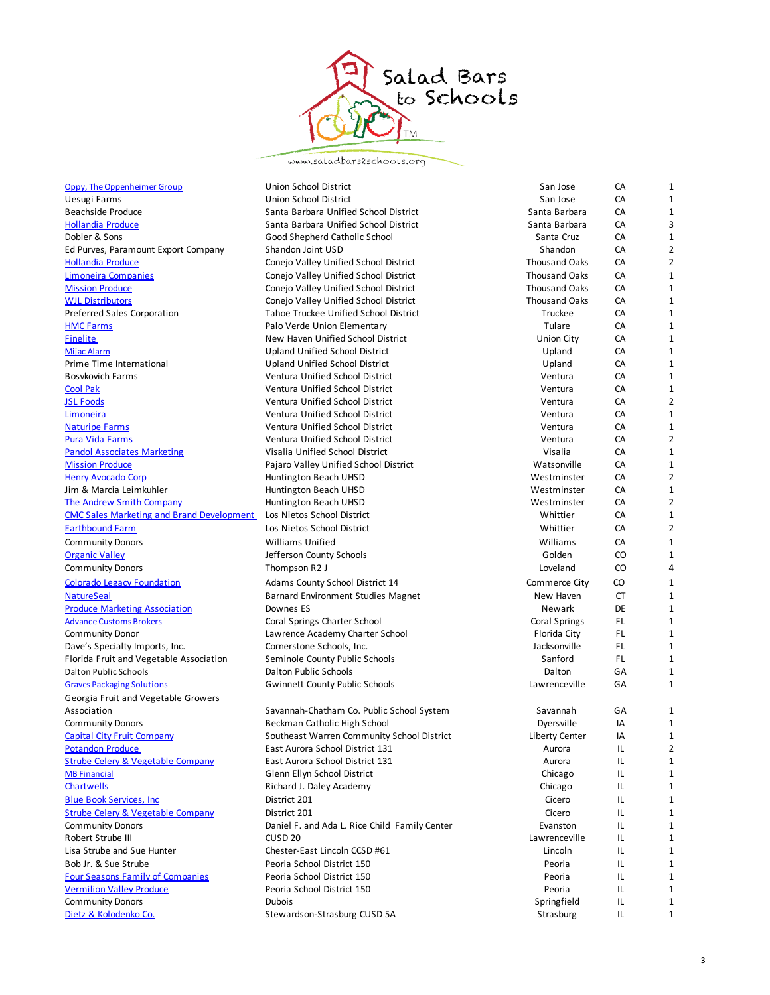

www.saladbars2schools.org

| Oppy, The Oppenheimer Group                                            | Union School District                                           | San Jose                   | CA       | 1                              |
|------------------------------------------------------------------------|-----------------------------------------------------------------|----------------------------|----------|--------------------------------|
| Uesugi Farms                                                           | <b>Union School District</b>                                    | San Jose                   | CA       | 1                              |
| Beachside Produce                                                      | Santa Barbara Unified School District                           | Santa Barbara              | CA       | $\mathbf{1}$                   |
| <b>Hollandia Produce</b>                                               | Santa Barbara Unified School District                           | Santa Barbara              | CA       | 3                              |
| Dobler & Sons                                                          | Good Shepherd Catholic School                                   | Santa Cruz                 | CA       | $\mathbf{1}$                   |
| Ed Purves, Paramount Export Company                                    | Shandon Joint USD                                               | Shandon                    | CA       | $\overline{2}$                 |
| <b>Hollandia Produce</b>                                               | Conejo Valley Unified School District                           | <b>Thousand Oaks</b>       | CA       | $\overline{2}$                 |
| Limoneira Companies                                                    | Conejo Valley Unified School District                           | <b>Thousand Oaks</b>       | CA       | $\mathbf{1}$                   |
| <b>Mission Produce</b>                                                 | Conejo Valley Unified School District                           | <b>Thousand Oaks</b>       | CA       | 1                              |
| <b>WJL Distributors</b>                                                | Conejo Valley Unified School District                           | <b>Thousand Oaks</b>       | CA       | $\mathbf{1}$                   |
| <b>Preferred Sales Corporation</b>                                     | Tahoe Truckee Unified School District                           | Truckee                    | CA       | $\mathbf{1}$                   |
| <b>HMC Farms</b>                                                       | Palo Verde Union Elementary                                     | Tulare                     | CA       | 1                              |
| Finelite                                                               | New Haven Unified School District                               | Union City                 | CA       | 1                              |
| Mijac Alarm                                                            | <b>Upland Unified School District</b>                           | Upland                     | CA       | $\mathbf{1}$                   |
| Prime Time International                                               | Upland Unified School District                                  | Upland                     | CA       | 1                              |
| Bosykovich Farms                                                       | Ventura Unified School District                                 | Ventura                    | CA       | $\mathbf{1}$                   |
| <b>Cool Pak</b>                                                        | Ventura Unified School District                                 | Ventura                    | CA       | $\mathbf{1}$                   |
| <b>JSL Foods</b>                                                       | Ventura Unified School District                                 | Ventura                    | CA       | $\overline{2}$                 |
| Limoneira                                                              | Ventura Unified School District                                 | Ventura                    | CA       | 1                              |
| <b>Naturipe Farms</b>                                                  | <b>Ventura Unified School District</b>                          | Ventura                    | CA       | $\mathbf{1}$                   |
| <b>Pura Vida Farms</b>                                                 | Ventura Unified School District                                 | Ventura                    | CA       | $\overline{2}$                 |
| <b>Pandol Associates Marketing</b>                                     | Visalia Unified School District                                 | Visalia                    | CA       | $\mathbf{1}$                   |
| <b>Mission Produce</b>                                                 | Pajaro Valley Unified School District                           | Watsonville<br>Westminster | CA       | $\mathbf{1}$<br>$\overline{2}$ |
| <b>Henry Avocado Corp</b>                                              | Huntington Beach UHSD                                           |                            | CA       |                                |
| Jim & Marcia Leimkuhler<br>The Andrew Smith Company                    | Huntington Beach UHSD                                           | Westminster                | CA<br>CA | 1<br>$\overline{2}$            |
| <b>CMC Sales Marketing and Brand Development</b>                       | Huntington Beach UHSD<br>Los Nietos School District             | Westminster<br>Whittier    | CA       | $\mathbf{1}$                   |
| <b>Earthbound Farm</b>                                                 | Los Nietos School District                                      | Whittier                   | CA       | $\overline{2}$                 |
| <b>Community Donors</b>                                                | <b>Williams Unified</b>                                         | Williams                   | CA       | 1                              |
| <b>Organic Valley</b>                                                  | Jefferson County Schools                                        | Golden                     | CO       | $\mathbf{1}$                   |
| <b>Community Donors</b>                                                | Thompson R2 J                                                   | Loveland                   | CO       | 4                              |
|                                                                        |                                                                 |                            |          | $\mathbf{1}$                   |
| <b>Colorado Legacy Foundation</b>                                      | Adams County School District 14                                 | Commerce City              | CO       | $\mathbf{1}$                   |
| <b>NatureSeal</b>                                                      | <b>Barnard Environment Studies Magnet</b>                       | New Haven                  | CT<br>DE | $\mathbf{1}$                   |
| <b>Produce Marketing Association</b><br><b>Advance Customs Brokers</b> | Downes ES                                                       | Newark<br>Coral Springs    | FL.      | $\mathbf{1}$                   |
| <b>Community Donor</b>                                                 | Coral Springs Charter School<br>Lawrence Academy Charter School | Florida City               | FL.      | $\mathbf{1}$                   |
| Dave's Specialty Imports, Inc.                                         | Cornerstone Schools, Inc.                                       | Jacksonville               | FL.      | $\mathbf{1}$                   |
| Florida Fruit and Vegetable Association                                | Seminole County Public Schools                                  | Sanford                    | FL.      | 1                              |
| <b>Dalton Public Schools</b>                                           | Dalton Public Schools                                           | Dalton                     | GА       | 1                              |
| <b>Graves Packaging Solutions</b>                                      | <b>Gwinnett County Public Schools</b>                           | Lawrenceville              | GA       | 1                              |
| Georgia Fruit and Vegetable Growers                                    |                                                                 |                            |          |                                |
| Association                                                            | Savannah-Chatham Co. Public School System                       | Savannah                   | GA       | 1                              |
| <b>Community Donors</b>                                                | Beckman Catholic High School                                    | Dyersville                 | IA       | 1                              |
| <b>Capital City Fruit Company</b>                                      | Southeast Warren Community School District                      | Liberty Center             | IA       | $\mathbf{1}$                   |
| <b>Potandon Produce</b>                                                | East Aurora School District 131                                 | Aurora                     | IL       | 2                              |
| <b>Strube Celery &amp; Vegetable Company</b>                           | East Aurora School District 131                                 | Aurora                     | IL       | 1                              |
| <b>MB Financial</b>                                                    | Glenn Ellyn School District                                     | Chicago                    | IL       | 1                              |
| <b>Chartwells</b>                                                      | Richard J. Daley Academy                                        | Chicago                    | IL       | 1                              |
| <b>Blue Book Services, Inc.</b>                                        | District 201                                                    | Cicero                     | IL       | 1                              |
| <b>Strube Celery &amp; Vegetable Company</b>                           | District 201                                                    | Cicero                     | IL       | 1                              |
| <b>Community Donors</b>                                                | Daniel F. and Ada L. Rice Child Family Center                   | Evanston                   | IL       | $\mathbf{1}$                   |
| Robert Strube III                                                      | CUSD <sub>20</sub>                                              | Lawrenceville              | IL       | 1                              |
| Lisa Strube and Sue Hunter                                             | Chester-East Lincoln CCSD #61                                   | Lincoln                    | IL       | 1                              |
| Bob Jr. & Sue Strube                                                   | Peoria School District 150                                      | Peoria                     | IL       | $\mathbf{1}$                   |
| <b>Four Seasons Family of Companies</b>                                | Peoria School District 150                                      | Peoria                     | IL       | 1                              |
| <b>Vermilion Valley Produce</b>                                        | Peoria School District 150                                      | Peoria                     | IL       | 1                              |
| <b>Community Donors</b>                                                | <b>Dubois</b>                                                   | Springfield                | IL       | 1                              |
| Dietz & Kolodenko Co.                                                  | Stewardson-Strasburg CUSD 5A                                    | Strasburg                  | IL       | 1                              |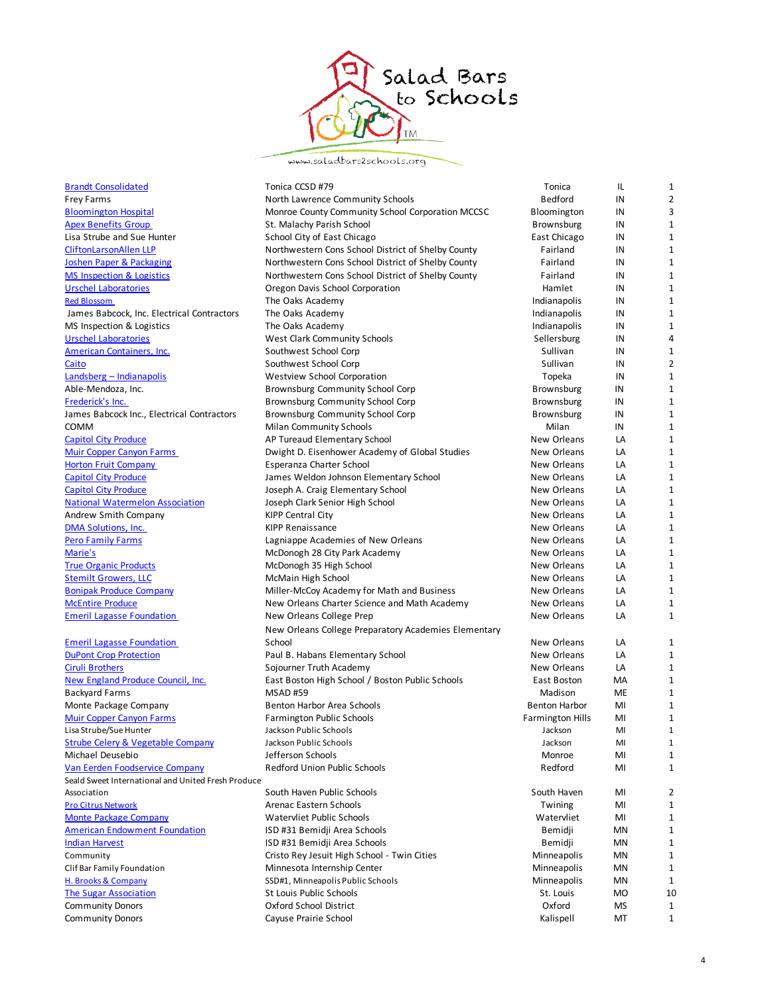

www.saladbars2schools.org

| <b>Brandt Consolidated</b>                         | Tonica CCSD #79                                      | Tonica                  | IL        | 1              |
|----------------------------------------------------|------------------------------------------------------|-------------------------|-----------|----------------|
| Frey Farms                                         | North Lawrence Community Schools                     | Bedford                 | IN        | $\overline{2}$ |
| <b>Bloomington Hospital</b>                        | Monroe County Community School Corporation MCCSC     | Bloomington             | IN        | 3              |
| <b>Apex Benefits Group</b>                         | St. Malachy Parish School                            | <b>Brownsburg</b>       | IN        | $\mathbf{1}$   |
| Lisa Strube and Sue Hunter                         | School City of East Chicago                          | East Chicago            | IN        | $\mathbf 1$    |
| <b>CliftonLarsonAllen LLP</b>                      | Northwestern Cons School District of Shelby County   | Fairland                | IN        | $\mathbf{1}$   |
| <b>Joshen Paper &amp; Packaging</b>                | Northwestern Cons School District of Shelby County   | Fairland                | IN        | $\mathbf{1}$   |
| <b>MS Inspection &amp; Logistics</b>               | Northwestern Cons School District of Shelby County   | Fairland                | IN        | $\mathbf{1}$   |
| <b>Urschel Laboratories</b>                        | Oregon Davis School Corporation                      | Hamlet                  | IN        | $\mathbf{1}$   |
| <b>Red Blossom</b>                                 | The Oaks Academy                                     | Indianapolis            | IN        | $\mathbf{1}$   |
| James Babcock, Inc. Electrical Contractors         | The Oaks Academy                                     | Indianapolis            | IN        | $\mathbf{1}$   |
| MS Inspection & Logistics                          | The Oaks Academy                                     | Indianapolis            | IN        | 1              |
| <b>Urschel Laboratories</b>                        | West Clark Community Schools                         | Sellersburg             | IN        | $\overline{4}$ |
| <b>American Containers, Inc.</b>                   | Southwest School Corp                                | Sullivan                | IN        | $\mathbf{1}$   |
| Caito                                              | Southwest School Corp                                | Sullivan                | IN        | $\overline{2}$ |
| Landsberg - Indianapolis                           | Westview School Corporation                          | Topeka                  | IN        | $\mathbf{1}$   |
| Able-Mendoza, Inc.                                 | Brownsburg Community School Corp                     | <b>Brownsburg</b>       | IN        | $\mathbf{1}$   |
| Frederick's Inc.                                   | Brownsburg Community School Corp                     | Brownsburg              | IN        | $\mathbf{1}$   |
| James Babcock Inc., Electrical Contractors         | Brownsburg Community School Corp                     | <b>Brownsburg</b>       | IN        | $\mathbf{1}$   |
| COMM                                               | <b>Milan Community Schools</b>                       | Milan                   | IN        | $\mathbf{1}$   |
| <b>Capitol City Produce</b>                        | AP Tureaud Elementary School                         | New Orleans             | LA        | $\mathbf{1}$   |
| <b>Muir Copper Canyon Farms</b>                    | Dwight D. Eisenhower Academy of Global Studies       | New Orleans             | LA        | $\mathbf 1$    |
| <b>Horton Fruit Company</b>                        | Esperanza Charter School                             | New Orleans             | LA        | $\mathbf{1}$   |
| <b>Capitol City Produce</b>                        | James Weldon Johnson Elementary School               | New Orleans             | LA        | $\mathbf{1}$   |
| <b>Capitol City Produce</b>                        | Joseph A. Craig Elementary School                    | New Orleans             | LA        | $\mathbf{1}$   |
| <b>National Watermelon Association</b>             | Joseph Clark Senior High School                      | New Orleans             | LA        | $1\,$          |
| Andrew Smith Company                               | <b>KIPP Central City</b>                             | New Orleans             | LA        | $\mathbf{1}$   |
| <b>DMA Solutions, Inc.</b>                         | <b>KIPP Renaissance</b>                              | New Orleans             | LA        | $\mathbf{1}$   |
| <b>Pero Family Farms</b>                           | Lagniappe Academies of New Orleans                   | New Orleans             | LA        | $1\,$          |
| Marie's                                            | McDonogh 28 City Park Academy                        | New Orleans             | LA        | $\mathbf{1}$   |
| <b>True Organic Products</b>                       | McDonogh 35 High School                              | New Orleans             | LA        | $\mathbf{1}$   |
| <b>Stemilt Growers, LLC</b>                        | McMain High School                                   | New Orleans             | LA        | $1\,$          |
| <b>Bonipak Produce Company</b>                     | Miller-McCoy Academy for Math and Business           | New Orleans             | LA        | $\mathbf{1}$   |
| <b>McEntire Produce</b>                            | New Orleans Charter Science and Math Academy         | New Orleans             | LA        | 1              |
| <b>Emeril Lagasse Foundation</b>                   | New Orleans College Prep                             | New Orleans             | LA        | $\mathbf{1}$   |
|                                                    | New Orleans College Preparatory Academies Elementary |                         |           |                |
| <b>Emeril Lagasse Foundation</b>                   | School                                               | New Orleans             | LA        | 1              |
| <b>DuPont Crop Protection</b>                      | Paul B. Habans Elementary School                     | New Orleans             | LA        | $\mathbf{1}$   |
| <b>Ciruli Brothers</b>                             | Sojourner Truth Academy                              | New Orleans             | LA        | $\mathbf{1}$   |
| New England Produce Council, Inc.                  | East Boston High School / Boston Public Schools      | East Boston             | MA        | 1              |
| <b>Backyard Farms</b>                              | <b>MSAD#59</b>                                       | Madison                 | <b>ME</b> | $\mathbf{1}$   |
| Monte Package Company                              | Benton Harbor Area Schools                           | <b>Benton Harbor</b>    | MI        | $\mathbf{1}$   |
| <b>Muir Copper Canyon Farms</b>                    | <b>Farmington Public Schools</b>                     | <b>Farmington Hills</b> | MI        | $\mathbf{1}$   |
| Lisa Strube/Sue Hunter                             | Jackson Public Schools                               | Jackson                 | MI        | $\mathbf{1}$   |
| <b>Strube Celery &amp; Vegetable Company</b>       | Jackson Public Schools                               | Jackson                 | MI        | $\mathbf{1}$   |
| Michael Deusebio                                   | Jefferson Schools                                    | Monroe                  | MI        | 1              |
| Van Eerden Foodservice Company                     | Redford Union Public Schools                         | Redford                 | MI        | $\mathbf{1}$   |
| Seald Sweet International and United Fresh Produce |                                                      |                         |           |                |
| Association                                        | South Haven Public Schools                           | South Haven             | MI        | 2              |
| <b>Pro Citrus Network</b>                          | Arenac Eastern Schools                               | Twining                 | MI        | 1              |
| <b>Monte Package Company</b>                       | Watervliet Public Schools                            | Watervliet              | MI        | 1              |
| <b>American Endowment Foundation</b>               | ISD #31 Bemidji Area Schools                         | Bemidji                 | MN        | 1              |
| <b>Indian Harvest</b>                              | ISD #31 Bemidji Area Schools                         | Bemidji                 | MN        | 1              |
| Community                                          | Cristo Rey Jesuit High School - Twin Cities          | Minneapolis             | MN        | 1              |
| Clif Bar Family Foundation                         | Minnesota Internship Center                          | Minneapolis             | MN        | $\mathbf{1}$   |
| H. Brooks & Company                                | SSD#1, Minneapolis Public Schools                    | Minneapolis             | MN        | 1              |
| <b>The Sugar Association</b>                       | St Louis Public Schools                              | St. Louis               | MO        | 10             |
| <b>Community Donors</b>                            | Oxford School District                               | Oxford                  | MS        | $\mathbf{1}$   |
| <b>Community Donors</b>                            | Cayuse Prairie School                                | Kalispell               | МT        | $\mathbf{1}$   |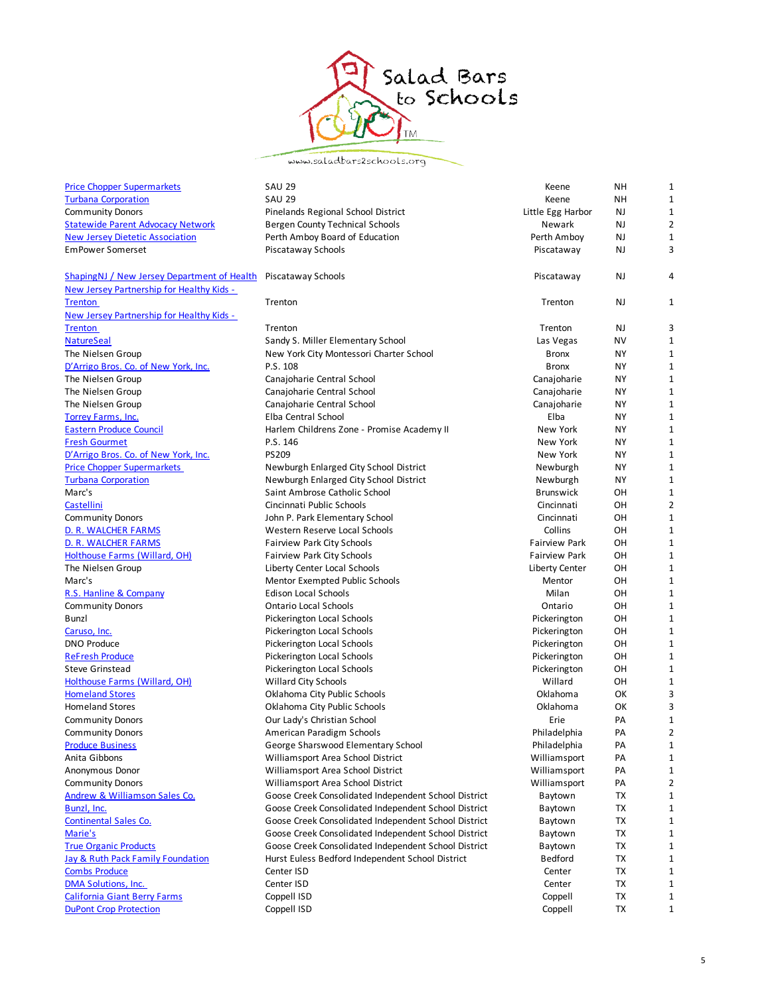

www.saladbars2schools.org

| <b>Price Chopper Supermarkets</b>                  | <b>SAU 29</b>                                        | Keene                | NΗ        | $\mathbf{1}$   |
|----------------------------------------------------|------------------------------------------------------|----------------------|-----------|----------------|
| <b>Turbana Corporation</b>                         | <b>SAU 29</b>                                        | Keene                | NΗ        | 1              |
| <b>Community Donors</b>                            | Pinelands Regional School District                   | Little Egg Harbor    | NJ        | 1              |
| <b>Statewide Parent Advocacy Network</b>           | <b>Bergen County Technical Schools</b>               | Newark               | NJ        | $\overline{2}$ |
| <b>New Jersey Dietetic Association</b>             | Perth Amboy Board of Education                       | Perth Amboy          | NJ        | 1              |
| <b>EmPower Somerset</b>                            | Piscataway Schools                                   | Piscataway           | NJ        | 3              |
| <b>ShapingNJ</b> / New Jersey Department of Health | Piscataway Schools                                   | Piscataway           | NJ        | 4              |
| New Jersey Partnership for Healthy Kids -          |                                                      |                      |           |                |
| <b>Trenton</b>                                     | Trenton                                              | Trenton              | NJ        | 1              |
| New Jersey Partnership for Healthy Kids -          |                                                      |                      |           |                |
| <b>Trenton</b>                                     | Trenton                                              | Trenton              | NJ        | 3              |
| <b>NatureSeal</b>                                  | Sandy S. Miller Elementary School                    | Las Vegas            | NV        | 1              |
| The Nielsen Group                                  | New York City Montessori Charter School              | <b>Bronx</b>         | NΥ        | 1              |
| D'Arrigo Bros. Co. of New York, Inc.               | P.S. 108                                             | <b>Bronx</b>         | NΥ        | $\mathbf{1}$   |
| The Nielsen Group                                  | Canajoharie Central School                           | Canajoharie          | NΥ        | $\mathbf{1}$   |
| The Nielsen Group                                  | Canajoharie Central School                           | Canajoharie          | NΥ        | 1              |
| The Nielsen Group                                  | Canajoharie Central School                           | Canajoharie          | NΥ        | $\mathbf{1}$   |
| <b>Torrey Farms, Inc.</b>                          | Elba Central School                                  | Elba                 | NΥ        | 1              |
| <b>Eastern Produce Council</b>                     | Harlem Childrens Zone - Promise Academy II           | New York             | NΥ        | 1              |
| <b>Fresh Gourmet</b>                               | P.S. 146                                             | New York             | NΥ        | $\mathbf{1}$   |
| D'Arrigo Bros. Co. of New York, Inc.               | <b>PS209</b>                                         | New York             | NΥ        | $\mathbf{1}$   |
| <b>Price Chopper Supermarkets</b>                  | Newburgh Enlarged City School District               | Newburgh             | <b>NY</b> | $\mathbf{1}$   |
| <b>Turbana Corporation</b>                         | Newburgh Enlarged City School District               | Newburgh             | NΥ        | 1              |
| Marc's                                             | Saint Ambrose Catholic School                        | <b>Brunswick</b>     | ОН        | 1              |
| Castellini                                         | Cincinnati Public Schools                            | Cincinnati           | OH        | $\overline{2}$ |
| <b>Community Donors</b>                            | John P. Park Elementary School                       | Cincinnati           | OH        | $\mathbf{1}$   |
| D. R. WALCHER FARMS                                | Western Reserve Local Schools                        | Collins              | OН        | $\mathbf{1}$   |
| D. R. WALCHER FARMS                                | <b>Fairview Park City Schools</b>                    | <b>Fairview Park</b> | OН        | $\mathbf{1}$   |
| Holthouse Farms (Willard, OH)                      | Fairview Park City Schools                           | <b>Fairview Park</b> | OН        | $\mathbf{1}$   |
| The Nielsen Group                                  | Liberty Center Local Schools                         | Liberty Center       | OН        | 1              |
| Marc's                                             | Mentor Exempted Public Schools                       | Mentor               | OН        | 1              |
| R.S. Hanline & Company                             | <b>Edison Local Schools</b>                          | Milan                | OH        | $\mathbf{1}$   |
| <b>Community Donors</b>                            | <b>Ontario Local Schools</b>                         | Ontario              | OН        | 1              |
| Bunzl                                              | Pickerington Local Schools                           | Pickerington         | OН        | $\mathbf{1}$   |
| Caruso, Inc.                                       | Pickerington Local Schools                           | Pickerington         | ОН        | $\mathbf{1}$   |
| <b>DNO Produce</b>                                 | Pickerington Local Schools                           | Pickerington         | OН        | 1              |
| <b>ReFresh Produce</b>                             | Pickerington Local Schools                           | Pickerington         | OН        | 1              |
| <b>Steve Grinstead</b>                             | Pickerington Local Schools                           | Pickerington         | ОН        | $\mathbf{1}$   |
| Holthouse Farms (Willard, OH)                      | Willard City Schools                                 | Willard              | OН        | 1              |
| <b>Homeland Stores</b>                             | Oklahoma City Public Schools                         | Oklahoma             | ОΚ        | 3              |
| <b>Homeland Stores</b>                             | Oklahoma City Public Schools                         | Oklahoma             | OK        | 3              |
| <b>Community Donors</b>                            | Our Lady's Christian School                          | Erie                 | PA        | 1              |
| <b>Community Donors</b>                            | American Paradigm Schools                            | Philadelphia         | PA        | 2              |
| <b>Produce Business</b>                            | George Sharswood Elementary School                   | Philadelphia         | PA        |                |
| Anita Gibbons                                      | Williamsport Area School District                    | Williamsport         | PA        | 1              |
| Anonymous Donor                                    | Williamsport Area School District                    | Williamsport         | PA        | 1              |
| <b>Community Donors</b>                            | Williamsport Area School District                    | Williamsport         | PA        | 2              |
| Andrew & Williamson Sales Co.                      | Goose Creek Consolidated Independent School District | Baytown              | ТX        | 1              |
| Bunzl, Inc.                                        | Goose Creek Consolidated Independent School District | Baytown              | TX        | 1              |
| <b>Continental Sales Co.</b>                       | Goose Creek Consolidated Independent School District | Baytown              | TX        | 1              |
| Marie's                                            | Goose Creek Consolidated Independent School District | Baytown              | <b>TX</b> | 1              |
| <b>True Organic Products</b>                       | Goose Creek Consolidated Independent School District | Baytown              | <b>TX</b> | 1              |
| <b>Jay &amp; Ruth Pack Family Foundation</b>       | Hurst Euless Bedford Independent School District     | Bedford              | <b>TX</b> | 1              |
| <b>Combs Produce</b>                               | Center ISD                                           | Center               | <b>TX</b> | 1              |
| <b>DMA Solutions, Inc.</b>                         | Center ISD                                           | Center               | <b>TX</b> | 1              |
| <b>California Giant Berry Farms</b>                | Coppell ISD                                          | Coppell              | <b>TX</b> | 1              |
| <b>DuPont Crop Protection</b>                      | Coppell ISD                                          | Coppell              | TX        | 1              |